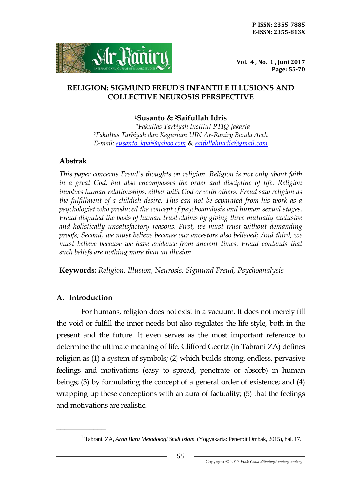

**Vol. 4 , No. 1 , Juni 2017 Page: 55-70**

### **RELIGION: SIGMUND FREUD'S INFANTILE ILLUSIONS AND COLLECTIVE NEUROSIS PERSPECTIVE**

### **<sup>1</sup>Susanto & 2Saifullah Idris**

*<sup>1</sup>Fakultas Tarbiyah Institut PTIQ Jakarta <sup>2</sup>Fakultas Tarbiyah dan Keguruan UIN Ar-Raniry Banda Aceh E-mail: [susanto\\_kpai@yahoo.com](mailto:susanto_kpai@yahoo.com)* **&** *[saifullahnadia@gmail.com](mailto:saifullahnadia@gmail.com)*

### **Abstrak**

*This paper concerns Freud's thoughts on religion. Religion is not only about faith*  in a great God, but also encompasses the order and discipline of life. Religion *involves human relationships, either with God or with others. Freud saw religion as the fulfillment of a childish desire. This can not be separated from his work as a psychologist who produced the concept of psychoanalysis and human sexual stages. Freud disputed the basis of human trust claims by giving three mutually exclusive and holistically unsatisfactory reasons. First, we must trust without demanding proofs; Second, we must believe because our ancestors also believed; And third, we must believe because we have evidence from ancient times. Freud contends that such beliefs are nothing more than an illusion.*

**Keywords:** *Religion, Illusion, Neurosis, Sigmund Freud, Psychoanalysis*

# **A. Introduction**

\_\_\_\_\_\_\_\_\_\_\_\_

For humans, religion does not exist in a vacuum. It does not merely fill the void or fulfill the inner needs but also regulates the life style, both in the present and the future. It even serves as the most important reference to determine the ultimate meaning of life. Clifford Geertz (in Tabrani ZA) defines religion as (1) a system of symbols; (2) which builds strong, endless, pervasive feelings and motivations (easy to spread, penetrate or absorb) in human beings; (3) by formulating the concept of a general order of existence; and (4) wrapping up these conceptions with an aura of factuality; (5) that the feelings and motivations are realistic.<sup>1</sup>

<sup>1</sup> Tabrani. ZA, *Arah Baru Metodologi Studi Islam,* (Yogyakarta: Penerbit Ombak, 2015), hal. 17.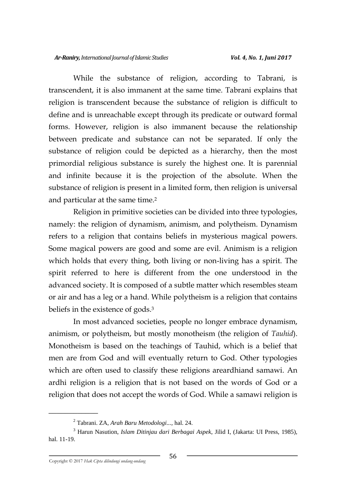While the substance of religion, according to Tabrani, is transcendent, it is also immanent at the same time. Tabrani explains that religion is transcendent because the substance of religion is difficult to define and is unreachable except through its predicate or outward formal forms. However, religion is also immanent because the relationship between predicate and substance can not be separated. If only the substance of religion could be depicted as a hierarchy, then the most primordial religious substance is surely the highest one. It is parennial and infinite because it is the projection of the absolute. When the substance of religion is present in a limited form, then religion is universal and particular at the same time.<sup>2</sup>

Religion in primitive societies can be divided into three typologies, namely: the religion of dynamism, animism, and polytheism. Dynamism refers to a religion that contains beliefs in mysterious magical powers. Some magical powers are good and some are evil. Animism is a religion which holds that every thing, both living or non-living has a spirit. The spirit referred to here is different from the one understood in the advanced society. It is composed of a subtle matter which resembles steam or air and has a leg or a hand. While polytheism is a religion that contains beliefs in the existence of gods.<sup>3</sup>

In most advanced societies, people no longer embrace dynamism, animism, or polytheism, but mostly monotheism (the religion of *Tauhid*). Monotheism is based on the teachings of Tauhid, which is a belief that men are from God and will eventually return to God. Other typologies which are often used to classify these religions areardhiand samawi. An ardhi religion is a religion that is not based on the words of God or a religion that does not accept the words of God. While a samawi religion is

<sup>2</sup> Tabrani. ZA, *Arah Baru Metodologi...,* hal. 24.

<sup>3</sup> Harun Nasution, *Islam Ditinjau dari Berbagai Aspek,* Jilid I, (Jakarta: UI Press, 1985), hal. 11-19.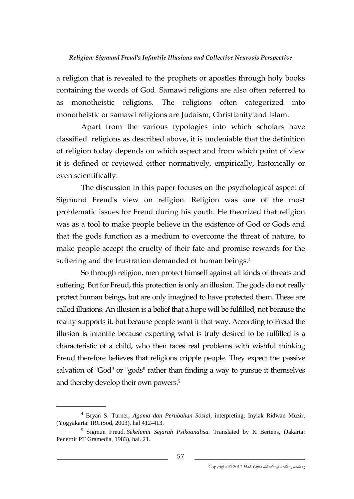a religion that is revealed to the prophets or apostles through holy books containing the words of God. Samawi religions are also often referred to as monotheistic religions. The religions often categorized into monotheistic or samawi religions are Judaism, Christianity and Islam.

Apart from the various typologies into which scholars have classified religions as described above, it is undeniable that the definition of religion today depends on which aspect and from which point of view it is defined or reviewed either normatively, empirically, historically or even scientifically.

The discussion in this paper focuses on the psychological aspect of Sigmund Freud's view on religion. Religion was one of the most problematic issues for Freud during his youth. He theorized that religion was as a tool to make people believe in the existence of God or Gods and that the gods function as a medium to overcome the threat of nature, to make people accept the cruelty of their fate and promise rewards for the suffering and the frustration demanded of human beings.<sup>4</sup>

So through religion, men protect himself against all kinds of threats and suffering. But for Freud, this protection is only an illusion. The gods do not really protect human beings, but are only imagined to have protected them. These are called illusions. An illusion is a belief that a hope will be fulfilled, not because the reality supports it, but because people want it that way. According to Freud the illusion is infantile because expecting what is truly desired to be fulfilled is a characteristic of a child, who then faces real problems with wishful thinking Freud therefore believes that religions cripple people. They expect the passive salvation of "God" or "gods" rather than finding a way to pursue it themselves and thereby develop their own powers.<sup>5</sup>

<sup>4</sup> Bryan S. Turner, *Agama dan Perubahan Sosial,* interpreting: Inyiak Ridwan Muzir, (Yogyakarta: IRCiSod, 2003), hal 412-413.

<sup>5</sup> Sigmun Freud. *Sekelumit Sejarah Psikoanalisa.* Translated by K Bertens, (Jakarta: Penerbit PT Gramedia, 1983), hal. 21.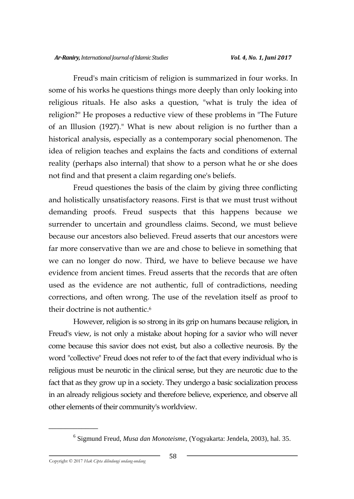Freud's main criticism of religion is summarized in four works. In some of his works he questions things more deeply than only looking into religious rituals. He also asks a question, "what is truly the idea of religion?" He proposes a reductive view of these problems in "The Future of an Illusion (1927)." What is new about religion is no further than a historical analysis, especially as a contemporary social phenomenon. The idea of religion teaches and explains the facts and conditions of external reality (perhaps also internal) that show to a person what he or she does not find and that present a claim regarding one's beliefs.

Freud questiones the basis of the claim by giving three conflicting and holistically unsatisfactory reasons. First is that we must trust without demanding proofs. Freud suspects that this happens because we surrender to uncertain and groundless claims. Second, we must believe because our ancestors also believed. Freud asserts that our ancestors were far more conservative than we are and chose to believe in something that we can no longer do now. Third, we have to believe because we have evidence from ancient times. Freud asserts that the records that are often used as the evidence are not authentic, full of contradictions, needing corrections, and often wrong. The use of the revelation itself as proof to their doctrine is not authentic.<sup>6</sup>

However, religion is so strong in its grip on humans because religion, in Freud's view, is not only a mistake about hoping for a savior who will never come because this savior does not exist, but also a collective neurosis. By the word "collective" Freud does not refer to of the fact that every individual who is religious must be neurotic in the clinical sense, but they are neurotic due to the fact that as they grow up in a society. They undergo a basic socialization process in an already religious society and therefore believe, experience, and observe all other elements of their community's worldview.

<sup>6</sup> Sigmund Freud, *Musa dan Monoteisme,* (Yogyakarta: Jendela, 2003), hal. 35.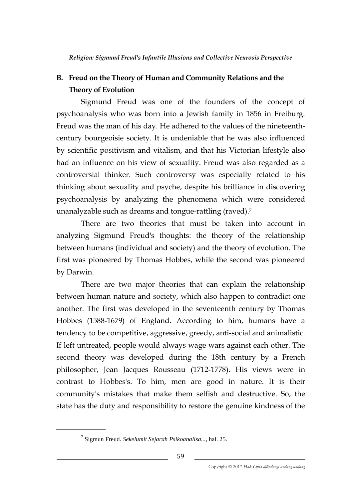# **B. Freud on the Theory of Human and Community Relations and the Theory of Evolution**

Sigmund Freud was one of the founders of the concept of psychoanalysis who was born into a Jewish family in 1856 in Freiburg. Freud was the man of his day. He adhered to the values of the nineteenthcentury bourgeoisie society. It is undeniable that he was also influenced by scientific positivism and vitalism, and that his Victorian lifestyle also had an influence on his view of sexuality. Freud was also regarded as a controversial thinker. Such controversy was especially related to his thinking about sexuality and psyche, despite his brilliance in discovering psychoanalysis by analyzing the phenomena which were considered unanalyzable such as dreams and tongue-rattling (raved).<sup>7</sup>

There are two theories that must be taken into account in analyzing Sigmund Freud's thoughts: the theory of the relationship between humans (individual and society) and the theory of evolution. The first was pioneered by Thomas Hobbes, while the second was pioneered by Darwin.

There are two major theories that can explain the relationship between human nature and society, which also happen to contradict one another. The first was developed in the seventeenth century by Thomas Hobbes (1588-1679) of England. According to him, humans have a tendency to be competitive, aggressive, greedy, anti-social and animalistic. If left untreated, people would always wage wars against each other. The second theory was developed during the 18th century by a French philosopher, Jean Jacques Rousseau (1712-1778). His views were in contrast to Hobbes's. To him, men are good in nature. It is their community's mistakes that make them selfish and destructive. So, the state has the duty and responsibility to restore the genuine kindness of the

<sup>7</sup> Sigmun Freud. *Sekelumit Sejarah Psikoanalisa...*, hal. 25.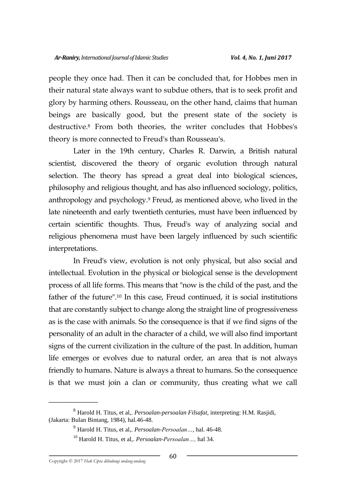people they once had. Then it can be concluded that, for Hobbes men in their natural state always want to subdue others, that is to seek profit and glory by harming others. Rousseau, on the other hand, claims that human beings are basically good, but the present state of the society is destructive.<sup>8</sup> From both theories, the writer concludes that Hobbes's theory is more connected to Freud's than Rousseau's.

Later in the 19th century, Charles R. Darwin, a British natural scientist, discovered the theory of organic evolution through natural selection. The theory has spread a great deal into biological sciences, philosophy and religious thought, and has also influenced sociology, politics, anthropology and psychology.<sup>9</sup> Freud, as mentioned above, who lived in the late nineteenth and early twentieth centuries, must have been influenced by certain scientific thoughts. Thus, Freud's way of analyzing social and religious phenomena must have been largely influenced by such scientific interpretations.

In Freud's view, evolution is not only physical, but also social and intellectual. Evolution in the physical or biological sense is the development process of all life forms. This means that "now is the child of the past, and the father of the future".<sup>10</sup> In this case, Freud continued, it is social institutions that are constantly subject to change along the straight line of progressiveness as is the case with animals. So the consequence is that if we find signs of the personality of an adult in the character of a child, we will also find important signs of the current civilization in the culture of the past. In addition, human life emerges or evolves due to natural order, an area that is not always friendly to humans. Nature is always a threat to humans. So the consequence is that we must join a clan or community, thus creating what we call

<sup>8</sup> Harold H. Titus, et al,. *Persoalan-persoalan Filsafat,* interpreting: H.M. Rasjidi, (Jakarta: Bulan Bintang, 1984), hal.46-48.

<sup>9</sup> Harold H. Titus, et al,. *Persoalan-Persoalan…*, hal. 46-48.

<sup>10</sup> Harold H. Titus, et al,. *Persoalan-Persoalan…,* hal 34.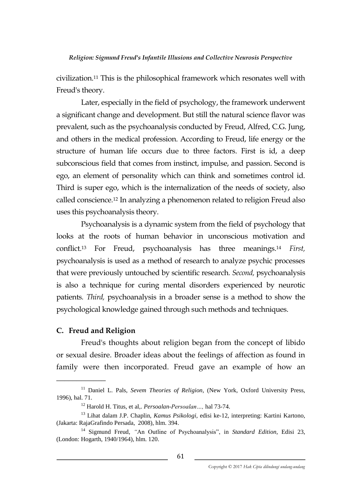civilization.<sup>11</sup> This is the philosophical framework which resonates well with Freud's theory.

Later, especially in the field of psychology, the framework underwent a significant change and development. But still the natural science flavor was prevalent, such as the psychoanalysis conducted by Freud, Alfred, C.G. Jung, and others in the medical profession. According to Freud, life energy or the structure of human life occurs due to three factors. First is id, a deep subconscious field that comes from instinct, impulse, and passion. Second is ego, an element of personality which can think and sometimes control id. Third is super ego, which is the internalization of the needs of society, also called conscience*.* <sup>12</sup> In analyzing a phenomenon related to religion Freud also uses this psychoanalysis theory.

Psychoanalysis is a dynamic system from the field of psychology that looks at the roots of human behavior in unconscious motivation and conflict.<sup>13</sup> For Freud, psychoanalysis has three meanings.<sup>14</sup> *First,*  psychoanalysis is used as a method of research to analyze psychic processes that were previously untouched by scientific research*. Second,* psychoanalysis is also a technique for curing mental disorders experienced by neurotic patients*. Third,* psychoanalysis in a broader sense is a method to show the psychological knowledge gained through such methods and techniques.

# **C. Freud and Religion**

\_\_\_\_\_\_\_\_\_\_\_\_

Freud's thoughts about religion began from the concept of libido or sexual desire. Broader ideas about the feelings of affection as found in family were then incorporated. Freud gave an example of how an

<sup>&</sup>lt;sup>11</sup> Daniel L. Pals, *Sevem Theories of Religion*, (New York, Oxford University Press, 1996), hal. 71.

<sup>12</sup> Harold H. Titus, et al,. *Persoalan-Persoalan…,* hal 73-74.

<sup>13</sup> Lihat dalam J.P. Chaplin, *Kamus Psikologi,* edisi ke-12*,* interpreting: Kartini Kartono, (Jakarta: RajaGrafindo Persada, 2008), hlm. 394.

<sup>14</sup> Sigmund Freud, *"*An Outline of Psychoanalysis", in *Standard Edition,* Edisi 23, (London: Hogarth, 1940/1964), hlm. 120.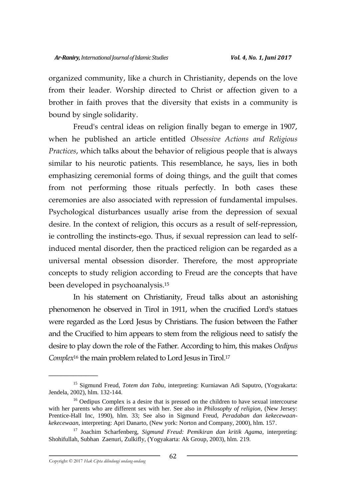organized community, like a church in Christianity, depends on the love from their leader. Worship directed to Christ or affection given to a brother in faith proves that the diversity that exists in a community is bound by single solidarity.

Freud's central ideas on religion finally began to emerge in 1907, when he published an article entitled *Obsessive Actions and Religious Practices*, which talks about the behavior of religious people that is always similar to his neurotic patients. This resemblance, he says, lies in both emphasizing ceremonial forms of doing things, and the guilt that comes from not performing those rituals perfectly. In both cases these ceremonies are also associated with repression of fundamental impulses. Psychological disturbances usually arise from the depression of sexual desire. In the context of religion, this occurs as a result of self-repression, ie controlling the instincts-ego. Thus, if sexual repression can lead to selfinduced mental disorder, then the practiced religion can be regarded as a universal mental obsession disorder. Therefore, the most appropriate concepts to study religion according to Freud are the concepts that have been developed in psychoanalysis.<sup>15</sup>

In his statement on Christianity, Freud talks about an astonishing phenomenon he observed in Tirol in 1911, when the crucified Lord's statues were regarded as the Lord Jesus by Christians. The fusion between the Father and the Crucified to him appears to stem from the religious need to satisfy the desire to play down the role of the Father. According to him, this makes *Oedipus Complex*<sup>16</sup> the main problem related to Lord Jesus in Tirol.<sup>17</sup>

<sup>15</sup> Sigmund Freud, *Totem dan Tabu,* interpreting: Kurniawan Adi Saputro, (Yogyakarta: Jendela, 2002), hlm. 132-144.

<sup>&</sup>lt;sup>16</sup> Oedipus Complex is a desire that is pressed on the children to have sexual intercourse with her parents who are different sex with her. See also in *Philosophy of religion,* (New Jersey: Prentice-Hall Inc, 1990), hlm. 33; See also in Sigmund Freud, *Peradaban dan kekecewaankekecewaan*, interpreting: Apri Danarto, (New york: Norton and Company, 2000), hlm. 157.

<sup>17</sup> Joachim Scharfenberg, *Sigmund Freud: Pemikiran dan kritik Agama*, interpreting: Shohifullah, Subhan Zaenuri, Zulkifly, (Yogyakarta: Ak Group, 2003), hlm. 219.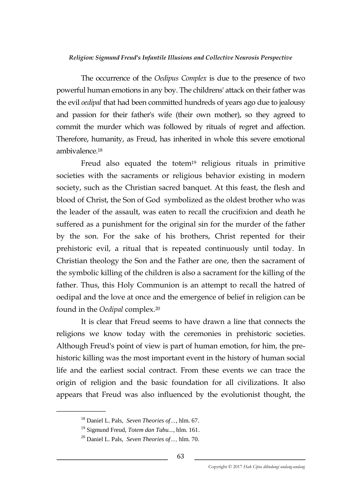The occurrence of the *Oedipus Complex* is due to the presence of two powerful human emotions in any boy. The childrens' attack on their father was the evil *oedipal* that had been committed hundreds of years ago due to jealousy and passion for their father's wife (their own mother), so they agreed to commit the murder which was followed by rituals of regret and affection. Therefore, humanity, as Freud, has inherited in whole this severe emotional ambivalence<sup>18</sup>

Freud also equated the totem<sup>19</sup> religious rituals in primitive societies with the sacraments or religious behavior existing in modern society, such as the Christian sacred banquet. At this feast, the flesh and blood of Christ, the Son of God symbolized as the oldest brother who was the leader of the assault, was eaten to recall the crucifixion and death he suffered as a punishment for the original sin for the murder of the father by the son. For the sake of his brothers, Christ repented for their prehistoric evil, a ritual that is repeated continuously until today. In Christian theology the Son and the Father are one, then the sacrament of the symbolic killing of the children is also a sacrament for the killing of the father. Thus, this Holy Communion is an attempt to recall the hatred of oedipal and the love at once and the emergence of belief in religion can be found in the *Oedipal* complex.<sup>20</sup>

It is clear that Freud seems to have drawn a line that connects the religions we know today with the ceremonies in prehistoric societies. Although Freud's point of view is part of human emotion, for him, the prehistoric killing was the most important event in the history of human social life and the earliest social contract. From these events we can trace the origin of religion and the basic foundation for all civilizations. It also appears that Freud was also influenced by the evolutionist thought, the

<sup>18</sup> Daniel L. Pals, *Seven Theories of…*, hlm. 67.

<sup>19</sup> Sigmund Freud, *Totem dan Tabu...*, hlm. 161.

<sup>20</sup> Daniel L. Pals, *Seven Theories of…,* hlm. 70.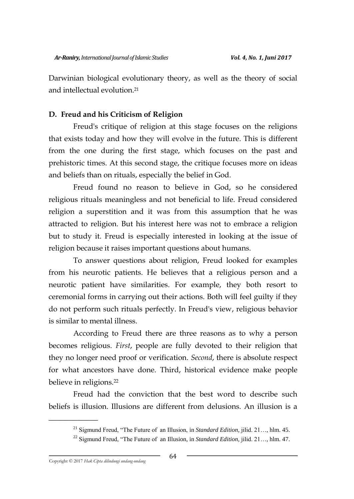Darwinian biological evolutionary theory, as well as the theory of social and intellectual evolution.<sup>21</sup>

# **D. Freud and his Criticism of Religion**

Freud's critique of religion at this stage focuses on the religions that exists today and how they will evolve in the future. This is different from the one during the first stage, which focuses on the past and prehistoric times. At this second stage, the critique focuses more on ideas and beliefs than on rituals, especially the belief in God.

Freud found no reason to believe in God, so he considered religious rituals meaningless and not beneficial to life. Freud considered religion a superstition and it was from this assumption that he was attracted to religion. But his interest here was not to embrace a religion but to study it. Freud is especially interested in looking at the issue of religion because it raises important questions about humans.

To answer questions about religion, Freud looked for examples from his neurotic patients. He believes that a religious person and a neurotic patient have similarities. For example, they both resort to ceremonial forms in carrying out their actions. Both will feel guilty if they do not perform such rituals perfectly. In Freud's view, religious behavior is similar to mental illness.

According to Freud there are three reasons as to why a person becomes religious. *First*, people are fully devoted to their religion that they no longer need proof or verification. *Second*, there is absolute respect for what ancestors have done. Third, historical evidence make people believe in religions.<sup>22</sup>

Freud had the conviction that the best word to describe such beliefs is illusion. Illusions are different from delusions. An illusion is a

<sup>21</sup> Sigmund Freud, "The Future of an Illusion, in *Standard Edition,* jilid. 21…, hlm. 45.

<sup>22</sup> Sigmund Freud, "The Future of an Illusion, in *Standard Edition,* jilid. 21…, hlm. 47.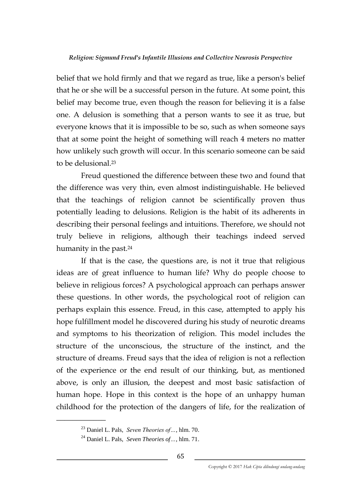belief that we hold firmly and that we regard as true, like a person's belief that he or she will be a successful person in the future. At some point, this belief may become true, even though the reason for believing it is a false one. A delusion is something that a person wants to see it as true, but everyone knows that it is impossible to be so, such as when someone says that at some point the height of something will reach 4 meters no matter how unlikely such growth will occur. In this scenario someone can be said to be delusional.<sup>23</sup>

Freud questioned the difference between these two and found that the difference was very thin, even almost indistinguishable. He believed that the teachings of religion cannot be scientifically proven thus potentially leading to delusions. Religion is the habit of its adherents in describing their personal feelings and intuitions. Therefore, we should not truly believe in religions, although their teachings indeed served humanity in the past.<sup>24</sup>

If that is the case, the questions are, is not it true that religious ideas are of great influence to human life? Why do people choose to believe in religious forces? A psychological approach can perhaps answer these questions. In other words, the psychological root of religion can perhaps explain this essence. Freud, in this case, attempted to apply his hope fulfillment model he discovered during his study of neurotic dreams and symptoms to his theorization of religion. This model includes the structure of the unconscious, the structure of the instinct, and the structure of dreams. Freud says that the idea of religion is not a reflection of the experience or the end result of our thinking, but, as mentioned above, is only an illusion, the deepest and most basic satisfaction of human hope. Hope in this context is the hope of an unhappy human childhood for the protection of the dangers of life, for the realization of

<sup>23</sup> Daniel L. Pals, *Seven Theories of…*, hlm. 70.

<sup>24</sup> Daniel L. Pals, *Seven Theories of…*, hlm. 71.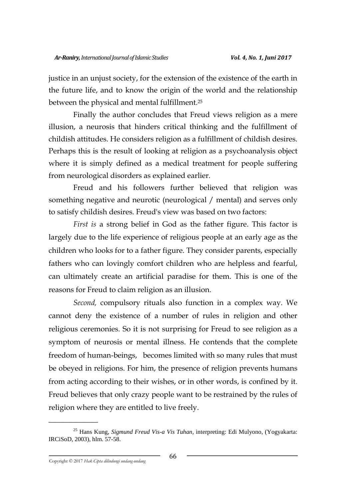justice in an unjust society, for the extension of the existence of the earth in the future life, and to know the origin of the world and the relationship between the physical and mental fulfillment.<sup>25</sup>

Finally the author concludes that Freud views religion as a mere illusion, a neurosis that hinders critical thinking and the fulfillment of childish attitudes. He considers religion as a fulfillment of childish desires. Perhaps this is the result of looking at religion as a psychoanalysis object where it is simply defined as a medical treatment for people suffering from neurological disorders as explained earlier.

Freud and his followers further believed that religion was something negative and neurotic (neurological / mental) and serves only to satisfy childish desires. Freud's view was based on two factors:

*First is* a strong belief in God as the father figure. This factor is largely due to the life experience of religious people at an early age as the children who looks for to a father figure. They consider parents, especially fathers who can lovingly comfort children who are helpless and fearful, can ultimately create an artificial paradise for them. This is one of the reasons for Freud to claim religion as an illusion.

*Second,* compulsory rituals also function in a complex way. We cannot deny the existence of a number of rules in religion and other religious ceremonies. So it is not surprising for Freud to see religion as a symptom of neurosis or mental illness. He contends that the complete freedom of human-beings, becomes limited with so many rules that must be obeyed in religions. For him, the presence of religion prevents humans from acting according to their wishes, or in other words, is confined by it. Freud believes that only crazy people want to be restrained by the rules of religion where they are entitled to live freely.

<sup>25</sup> Hans Kung, *Sigmund Freud Vis-a Vis Tuhan,* interpreting: Edi Mulyono, (Yogyakarta: IRCiSoD, 2003), hlm. 57-58.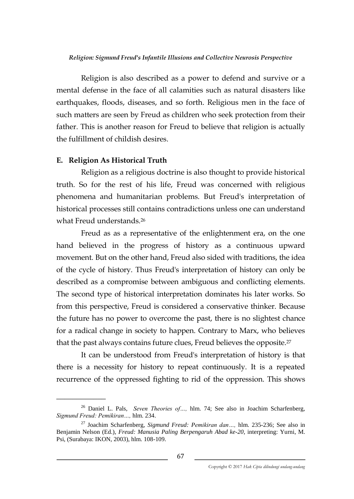Religion is also described as a power to defend and survive or a mental defense in the face of all calamities such as natural disasters like earthquakes, floods, diseases, and so forth. Religious men in the face of such matters are seen by Freud as children who seek protection from their father. This is another reason for Freud to believe that religion is actually the fulfillment of childish desires.

### **E. Religion As Historical Truth**

\_\_\_\_\_\_\_\_\_\_\_\_

Religion as a religious doctrine is also thought to provide historical truth. So for the rest of his life, Freud was concerned with religious phenomena and humanitarian problems. But Freud's interpretation of historical processes still contains contradictions unless one can understand what Freud understands.<sup>26</sup>

Freud as as a representative of the enlightenment era, on the one hand believed in the progress of history as a continuous upward movement. But on the other hand, Freud also sided with traditions, the idea of the cycle of history. Thus Freud's interpretation of history can only be described as a compromise between ambiguous and conflicting elements. The second type of historical interpretation dominates his later works. So from this perspective, Freud is considered a conservative thinker. Because the future has no power to overcome the past, there is no slightest chance for a radical change in society to happen. Contrary to Marx, who believes that the past always contains future clues, Freud believes the opposite.<sup>27</sup>

It can be understood from Freud's interpretation of history is that there is a necessity for history to repeat continuously. It is a repeated recurrence of the oppressed fighting to rid of the oppression. This shows

<sup>26</sup> Daniel L. Pals, *Seven Theories of…,* hlm. 74; See also in Joachim Scharfenberg, *Sigmund Freud: Pemikiran…,* hlm. 234.

<sup>27</sup> Joachim Scharfenberg, *Sigmund Freud: Pemikiran dan…,* hlm. 235-236; See also in Benjamin Nelson (Ed.), *Freud: Manusia Paling Berpengaruh Abad ke-20,* interpreting: Yurni, M. Psi, (Surabaya: IKON, 2003), hlm. 108-109.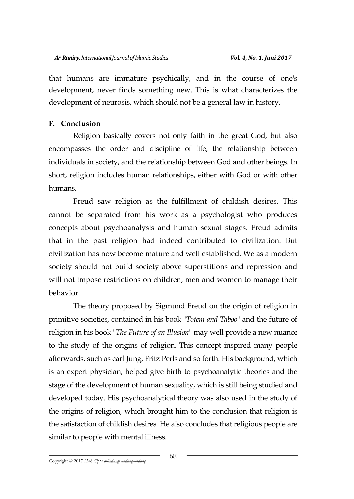that humans are immature psychically, and in the course of one's development, never finds something new. This is what characterizes the development of neurosis, which should not be a general law in history.

## **F. Conclusion**

Religion basically covers not only faith in the great God, but also encompasses the order and discipline of life, the relationship between individuals in society, and the relationship between God and other beings. In short, religion includes human relationships, either with God or with other humans.

Freud saw religion as the fulfillment of childish desires. This cannot be separated from his work as a psychologist who produces concepts about psychoanalysis and human sexual stages. Freud admits that in the past religion had indeed contributed to civilization. But civilization has now become mature and well established. We as a modern society should not build society above superstitions and repression and will not impose restrictions on children, men and women to manage their behavior.

The theory proposed by Sigmund Freud on the origin of religion in primitive societies, contained in his book "*Totem and Taboo*" and the future of religion in his book "*The Future of an Illusion*" may well provide a new nuance to the study of the origins of religion. This concept inspired many people afterwards, such as carl Jung, Fritz Perls and so forth. His background, which is an expert physician, helped give birth to psychoanalytic theories and the stage of the development of human sexuality, which is still being studied and developed today. His psychoanalytical theory was also used in the study of the origins of religion, which brought him to the conclusion that religion is the satisfaction of childish desires. He also concludes that religious people are similar to people with mental illness.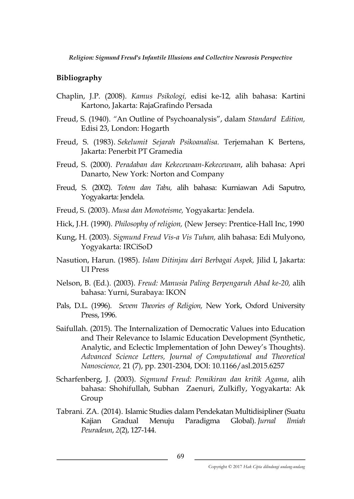# **Bibliography**

- Chaplin, J.P. (2008). *Kamus Psikologi,* edisi ke-12*,* alih bahasa: Kartini Kartono, Jakarta: RajaGrafindo Persada
- Freud, S. (1940). *"*An Outline of Psychoanalysis", dalam *Standard Edition,* Edisi 23, London: Hogarth
- Freud, S. (1983). *Sekelumit Sejarah Psikoanalisa.* Terjemahan K Bertens, Jakarta: Penerbit PT Gramedia
- Freud, S. (2000). *Peradaban dan Kekecewaan-Kekecewaan*, alih bahasa: Apri Danarto, New York: Norton and Company
- Freud, S. (2002). *Totem dan Tabu,* alih bahasa: Kurniawan Adi Saputro, Yogyakarta: Jendela.
- Freud, S. (2003). *Musa dan Monoteisme,* Yogyakarta: Jendela.
- Hick, J.H. (1990). *Philosophy of religion,* (New Jersey: Prentice-Hall Inc, 1990
- Kung, H. (2003). *Sigmund Freud Vis-a Vis Tuhan,* alih bahasa: Edi Mulyono, Yogyakarta: IRCiSoD
- Nasution, Harun. (1985). *Islam Ditinjau dari Berbagai Aspek,* Jilid I, Jakarta: UI Press
- Nelson, B. (Ed.). (2003). *Freud: Manusia Paling Berpengaruh Abad ke-20,* alih bahasa: Yurni, Surabaya: IKON
- Pals, D.L. (1996). *Sevem Theories of Religion,* New York, Oxford University Press, 1996.
- Saifullah. (2015). The Internalization of Democratic Values into Education and Their Relevance to Islamic Education Development (Synthetic, Analytic, and Eclectic Implementation of John Dewey's Thoughts). *Advanced Science Letters, Journal of Computational and Theoretical Nanoscience,* 21 (7), pp. 2301-2304, DOI: 10.1166/asl.2015.6257
- Scharfenberg, J. (2003). *Sigmund Freud: Pemikiran dan kritik Agama*, alih bahasa: Shohifullah, Subhan Zaenuri, Zulkifly, Yogyakarta: Ak Group
- Tabrani. ZA. (2014). Islamic Studies dalam Pendekatan Multidisipliner (Suatu Kajian Gradual Menuju Paradigma Global). *Jurnal Ilmiah Peuradeun*, *2*(2), 127-144.